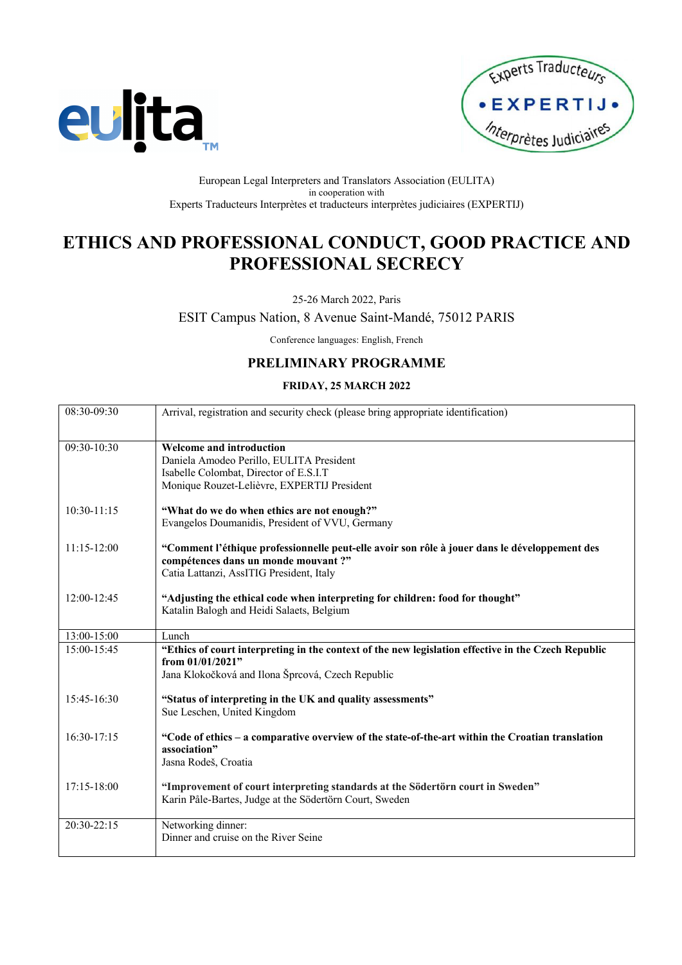



#### European Legal Interpreters and Translators Association (EULITA) in cooperation with Experts Traducteurs Interprètes et traducteurs interprètes judiciaires (EXPERTIJ)

# **ETHICS AND PROFESSIONAL CONDUCT, GOOD PRACTICE AND PROFESSIONAL SECRECY**

## 25-26 March 2022, Paris

ESIT Campus Nation, 8 Avenue Saint-Mandé, 75012 PARIS

Conference languages: English, French

## **PRELIMINARY PROGRAMME**

## **FRIDAY, 25 MARCH 2022**

| 08:30-09:30     | Arrival, registration and security check (please bring appropriate identification)                                      |
|-----------------|-------------------------------------------------------------------------------------------------------------------------|
|                 |                                                                                                                         |
| 09:30-10:30     | <b>Welcome and introduction</b>                                                                                         |
|                 | Daniela Amodeo Perillo, EULITA President                                                                                |
|                 | Isabelle Colombat, Director of E.S.I.T                                                                                  |
|                 | Monique Rouzet-Lelièvre, EXPERTIJ President                                                                             |
| $10:30 - 11:15$ | "What do we do when ethics are not enough?"                                                                             |
|                 | Evangelos Doumanidis, President of VVU, Germany                                                                         |
| $11:15-12:00$   | "Comment l'éthique professionnelle peut-elle avoir son rôle à jouer dans le développement des                           |
|                 | compétences dans un monde mouvant ?"                                                                                    |
|                 | Catia Lattanzi, AssITIG President, Italy                                                                                |
| 12:00-12:45     | "Adjusting the ethical code when interpreting for children: food for thought"                                           |
|                 | Katalin Balogh and Heidi Salaets, Belgium                                                                               |
|                 |                                                                                                                         |
| 13:00-15:00     | Lunch                                                                                                                   |
| 15:00-15:45     | "Ethics of court interpreting in the context of the new legislation effective in the Czech Republic<br>from 01/01/2021" |
|                 | Jana Klokočková and Ilona Šprcová, Czech Republic                                                                       |
|                 |                                                                                                                         |
| 15:45-16:30     | "Status of interpreting in the UK and quality assessments"                                                              |
|                 | Sue Leschen, United Kingdom                                                                                             |
| $16:30-17:15$   | "Code of ethics - a comparative overview of the state-of-the-art within the Croatian translation                        |
|                 | association"                                                                                                            |
|                 | Jasna Rodeš, Croatia                                                                                                    |
|                 |                                                                                                                         |
| 17:15-18:00     | "Improvement of court interpreting standards at the Södertörn court in Sweden"                                          |
|                 | Karin Påle-Bartes, Judge at the Södertörn Court, Sweden                                                                 |
| 20:30-22:15     | Networking dinner:                                                                                                      |
|                 |                                                                                                                         |
|                 | Dinner and cruise on the River Seine                                                                                    |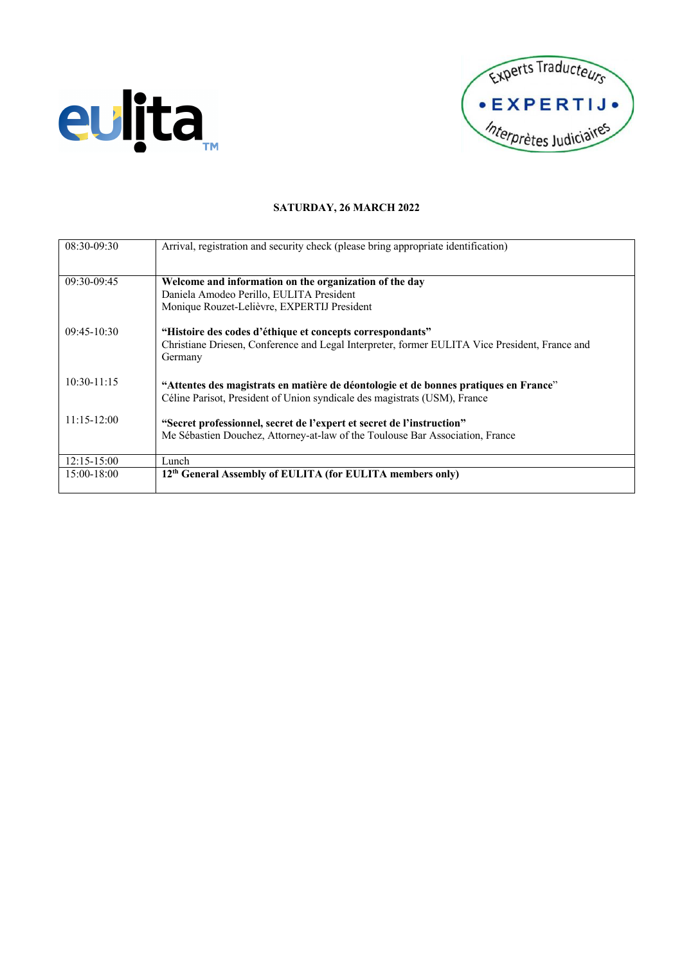



## **SATURDAY, 26 MARCH 2022**

| 08:30-09:30     | Arrival, registration and security check (please bring appropriate identification)             |
|-----------------|------------------------------------------------------------------------------------------------|
|                 |                                                                                                |
|                 |                                                                                                |
| 09:30-09:45     | Welcome and information on the organization of the day                                         |
|                 | Daniela Amodeo Perillo, EULITA President                                                       |
|                 | Monique Rouzet-Lelièvre, EXPERTIJ President                                                    |
|                 |                                                                                                |
| $09:45-10:30$   | "Histoire des codes d'éthique et concepts correspondants"                                      |
|                 | Christiane Driesen, Conference and Legal Interpreter, former EULITA Vice President, France and |
|                 | Germany                                                                                        |
|                 |                                                                                                |
|                 |                                                                                                |
| $10:30 - 11:15$ | "Attentes des magistrats en matière de déontologie et de bonnes pratiques en France"           |
|                 | Céline Parisot, President of Union syndicale des magistrats (USM), France                      |
|                 |                                                                                                |
| $11:15-12:00$   | "Secret professionnel, secret de l'expert et secret de l'instruction"                          |
|                 | Me Sébastien Douchez, Attorney-at-law of the Toulouse Bar Association, France                  |
|                 |                                                                                                |
| $12:15 - 15:00$ | Lunch                                                                                          |
|                 |                                                                                                |
| 15:00-18:00     | 12 <sup>th</sup> General Assembly of EULITA (for EULITA members only)                          |
|                 |                                                                                                |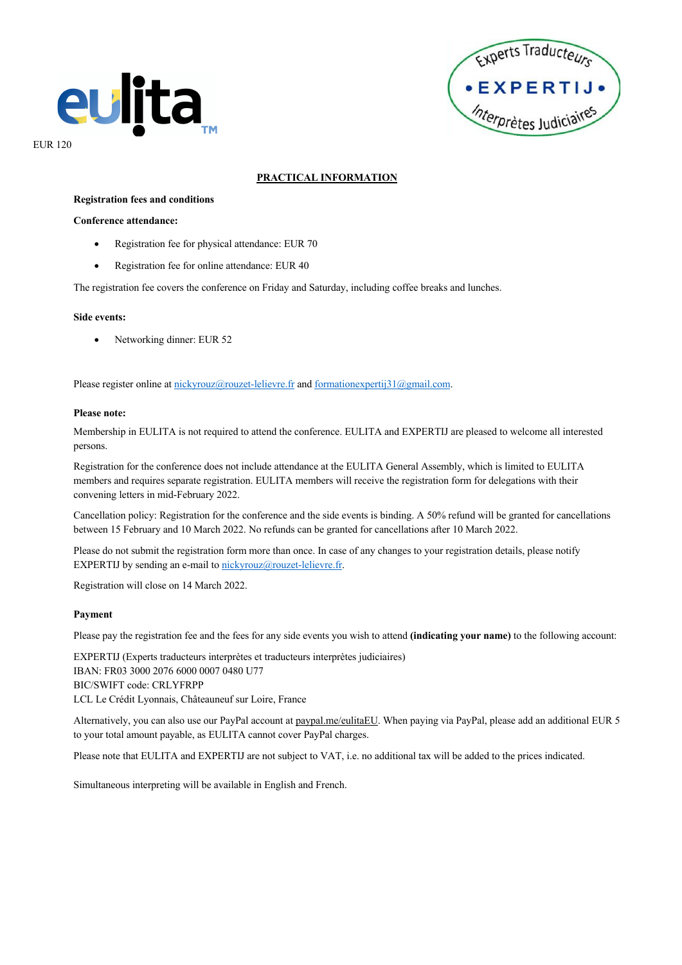



**PRACTICAL INFORMATION**

#### **Registration fees and conditions**

#### **Conference attendance:**

- Registration fee for physical attendance: EUR 70
- Registration fee for online attendance: EUR 40

The registration fee covers the conference on Friday and Saturday, including coffee breaks and lunches.

#### **Side events:**

Networking dinner: EUR 52

Please register online at nickyrouz@rouzet-lelievre.fr and formationexpertij31@gmail.com.

#### **Please note:**

Membership in EULITA is not required to attend the conference. EULITA and EXPERTIJ are pleased to welcome all interested persons.

Registration for the conference does not include attendance at the EULITA General Assembly, which is limited to EULITA members and requires separate registration. EULITA members will receive the registration form for delegations with their convening letters in mid-February 2022.

Cancellation policy: Registration for the conference and the side events is binding. A 50% refund will be granted for cancellations between 15 February and 10 March 2022. No refunds can be granted for cancellations after 10 March 2022.

Please do not submit the registration form more than once. In case of any changes to your registration details, please notify EXPERTIJ by sending an e-mail to nickyrouz@rouzet-lelievre.fr.

Registration will close on 14 March 2022.

### **Payment**

Please pay the registration fee and the fees for any side events you wish to attend **(indicating your name)** to the following account:

EXPERTIJ (Experts traducteurs interprètes et traducteurs interprètes judiciaires) IBAN: FR03 3000 2076 6000 0007 0480 U77 BIC/SWIFT code: CRLYFRPP LCL Le Crédit Lyonnais, Châteauneuf sur Loire, France

Alternatively, you can also use our PayPal account at paypal.me/eulitaEU. When paying via PayPal, please add an additional EUR 5 to your total amount payable, as EULITA cannot cover PayPal charges.

Please note that EULITA and EXPERTIJ are not subject to VAT, i.e. no additional tax will be added to the prices indicated.

Simultaneous interpreting will be available in English and French.